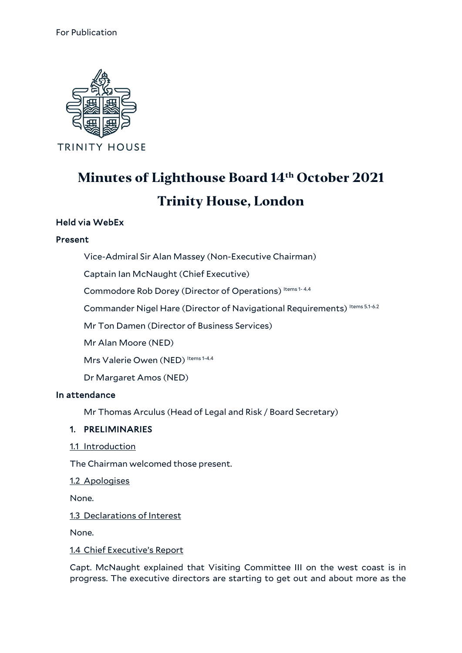

# **Minutes of Lighthouse Board 14th October 2021 Trinity House, London**

## Held via WebEx

#### Present

Vice-Admiral Sir Alan Massey (Non-Executive Chairman)

Captain Ian McNaught (Chief Executive)

Commodore Rob Dorey (Director of Operations) Items 1-4.4

Commander Nigel Hare (Director of Navigational Requirements) Items 5.1-6.2

Mr Ton Damen (Director of Business Services)

Mr Alan Moore (NED)

Mrs Valerie Owen (NED) Items 1-4.4

Dr Margaret Amos (NED)

#### In attendance

Mr Thomas Arculus (Head of Legal and Risk / Board Secretary)

#### 1. PRELIMINARIES

1.1 Introduction

The Chairman welcomed those present.

1.2 Apologises

None.

1.3 Declarations of Interest

None.

1.4 Chief Executive's Report

Capt. McNaught explained that Visiting Committee III on the west coast is in progress. The executive directors are starting to get out and about more as the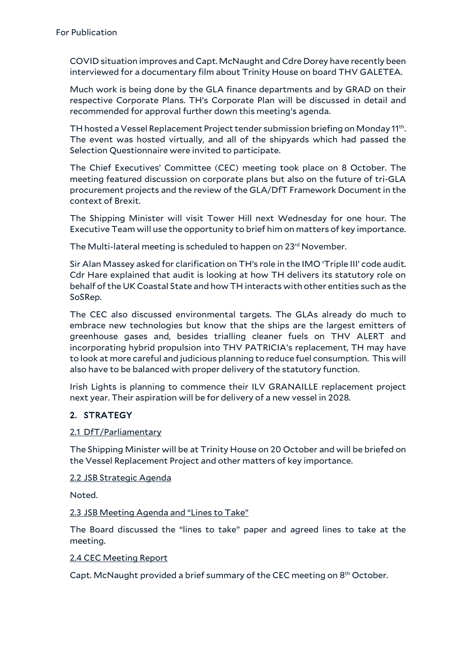COVID situation improves and Capt. McNaught and Cdre Dorey have recently been interviewed for a documentary film about Trinity House on board THV GALETEA.

Much work is being done by the GLA finance departments and by GRAD on their respective Corporate Plans. TH's Corporate Plan will be discussed in detail and recommended for approval further down this meeting's agenda.

TH hosted a Vessel Replacement Project tender submission briefing on Monday 11th. The event was hosted virtually, and all of the shipyards which had passed the Selection Questionnaire were invited to participate.

The Chief Executives' Committee (CEC) meeting took place on 8 October. The meeting featured discussion on corporate plans but also on the future of tri-GLA procurement projects and the review of the GLA/DfT Framework Document in the context of Brexit.

The Shipping Minister will visit Tower Hill next Wednesday for one hour. The Executive Team will use the opportunity to brief him on matters of key importance.

The Multi-lateral meeting is scheduled to happen on 23<sup>rd</sup> November.

Sir Alan Massey asked for clarification on TH's role in the IMO 'Triple III' code audit. Cdr Hare explained that audit is looking at how TH delivers its statutory role on behalf of the UK Coastal State and how TH interacts with other entities such as the SoSRep.

The CEC also discussed environmental targets. The GLAs already do much to embrace new technologies but know that the ships are the largest emitters of greenhouse gases and, besides trialling cleaner fuels on THV ALERT and incorporating hybrid propulsion into THV PATRICIA's replacement, TH may have to look at more careful and judicious planning to reduce fuel consumption. This will also have to be balanced with proper delivery of the statutory function.

Irish Lights is planning to commence their ILV GRANAILLE replacement project next year. Their aspiration will be for delivery of a new vessel in 2028.

# 2. STRATEGY

#### 2.1 DfT/Parliamentary

The Shipping Minister will be at Trinity House on 20 October and will be briefed on the Vessel Replacement Project and other matters of key importance.

2.2 JSB Strategic Agenda

Noted.

#### 2.3 JSB Meeting Agenda and "Lines to Take"

The Board discussed the "lines to take" paper and agreed lines to take at the meeting.

#### 2.4 CEC Meeting Report

Capt. McNaught provided a brief summary of the CEC meeting on 8<sup>th</sup> October.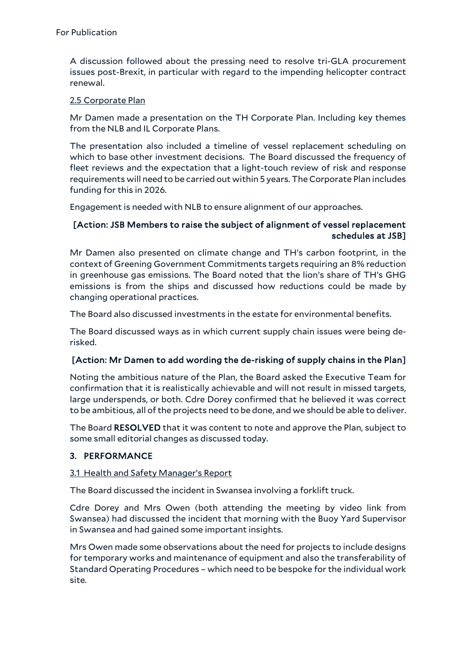A discussion followed about the pressing need to resolve tri-GLA procurement issues post-Brexit, in particular with regard to the impending helicopter contract renewal.

#### 2.5 Corporate Plan

Mr Damen made a presentation on the TH Corporate Plan. Including key themes from the NLB and IL Corporate Plans.

The presentation also included a timeline of vessel replacement scheduling on which to base other investment decisions. The Board discussed the frequency of fleet reviews and the expectation that a light-touch review of risk and response requirements will need to be carried out within 5 years. The Corporate Plan includes funding for this in 2026.

Engagement is needed with NLB to ensure alignment of our approaches.

## [Action: JSB Members to raise the subject of alignment of vessel replacement schedules at JSB]

Mr Damen also presented on climate change and TH's carbon footprint, in the context of Greening Government Commitments targets requiring an 8% reduction in greenhouse gas emissions. The Board noted that the lion's share of TH's GHG emissions is from the ships and discussed how reductions could be made by changing operational practices.

The Board also discussed investments in the estate for environmental benefits.

The Board discussed ways as in which current supply chain issues were being derisked.

#### [Action: Mr Damen to add wording the de-risking of supply chains in the Plan]

Noting the ambitious nature of the Plan, the Board asked the Executive Team for confirmation that it is realistically achievable and will not result in missed targets, large underspends, or both. Cdre Dorey confirmed that he believed it was correct to be ambitious, all of the projects need to be done, and we should be able to deliver.

The Board RESOLVED that it was content to note and approve the Plan, subject to some small editorial changes as discussed today.

# 3. PERFORMANCE

#### 3.1 Health and Safety Manager's Report

The Board discussed the incident in Swansea involving a forklift truck.

Cdre Dorey and Mrs Owen (both attending the meeting by video link from Swansea) had discussed the incident that morning with the Buoy Yard Supervisor in Swansea and had gained some important insights.

Mrs Owen made some observations about the need for projects to include designs for temporary works and maintenance of equipment and also the transferability of Standard Operating Procedures – which need to be bespoke for the individual work site.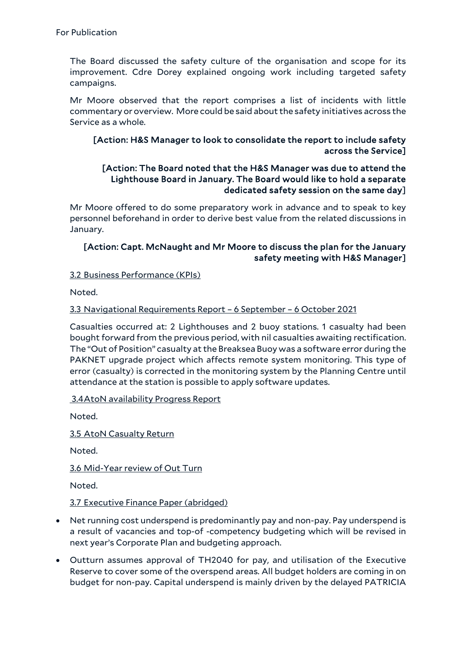The Board discussed the safety culture of the organisation and scope for its improvement. Cdre Dorey explained ongoing work including targeted safety campaigns.

Mr Moore observed that the report comprises a list of incidents with little commentary or overview. More could be said about the safety initiatives across the Service as a whole.

## [Action: H&S Manager to look to consolidate the report to include safety across the Service]

## [Action: The Board noted that the H&S Manager was due to attend the Lighthouse Board in January. The Board would like to hold a separate dedicated safety session on the same day]

Mr Moore offered to do some preparatory work in advance and to speak to key personnel beforehand in order to derive best value from the related discussions in January.

# [Action: Capt. McNaught and Mr Moore to discuss the plan for the January safety meeting with H&S Manager]

#### 3.2 Business Performance (KPIs)

Noted.

#### 3.3 Navigational Requirements Report – 6 September – 6 October 2021

Casualties occurred at: 2 Lighthouses and 2 buoy stations. 1 casualty had been bought forward from the previous period, with nil casualties awaiting rectification. The "Out of Position" casualty at the Breaksea Buoy was a software error during the PAKNET upgrade project which affects remote system monitoring. This type of error (casualty) is corrected in the monitoring system by the Planning Centre until attendance at the station is possible to apply software updates.

#### 3.4AtoN availability Progress Report

Noted.

3.5 AtoN Casualty Return

Noted.

3.6 Mid-Year review of Out Turn

Noted.

3.7 Executive Finance Paper (abridged)

- Net running cost underspend is predominantly pay and non-pay. Pay underspend is a result of vacancies and top-of -competency budgeting which will be revised in next year's Corporate Plan and budgeting approach.
- Outturn assumes approval of TH2040 for pay, and utilisation of the Executive Reserve to cover some of the overspend areas. All budget holders are coming in on budget for non-pay. Capital underspend is mainly driven by the delayed PATRICIA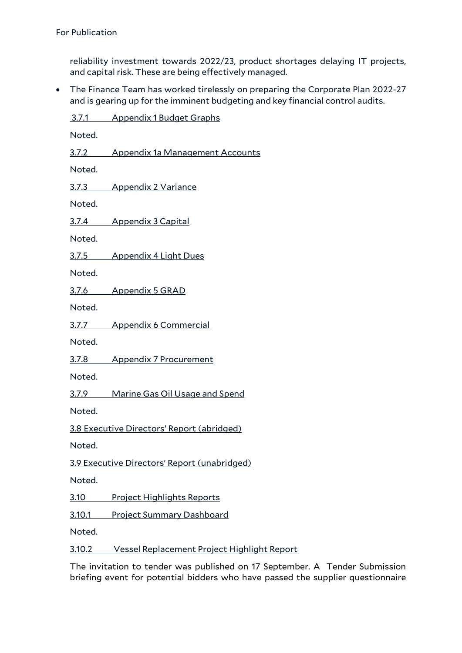reliability investment towards 2022/23, product shortages delaying IT projects, and capital risk. These are being effectively managed.

• The Finance Team has worked tirelessly on preparing the Corporate Plan 2022-27 and is gearing up for the imminent budgeting and key financial control audits.

3.7.1 Appendix 1 Budget Graphs Noted. 3.7.2 Appendix 1a Management Accounts Noted. 3.7.3 Appendix 2 Variance Noted. 3.7.4 Appendix 3 Capital Noted. 3.7.5 Appendix 4 Light Dues Noted. 3.7.6 Appendix 5 GRAD Noted. 3.7.7 Appendix 6 Commercial Noted. 3.7.8 Appendix 7 Procurement Noted. 3.7.9 Marine Gas Oil Usage and Spend Noted. 3.8 Executive Directors' Report (abridged) Noted. 3.9 Executive Directors' Report (unabridged) Noted. 3.10 Project Highlights Reports 3.10.1 Project Summary Dashboard Noted.

3.10.2 Vessel Replacement Project Highlight Report

The invitation to tender was published on 17 September. A Tender Submission briefing event for potential bidders who have passed the supplier questionnaire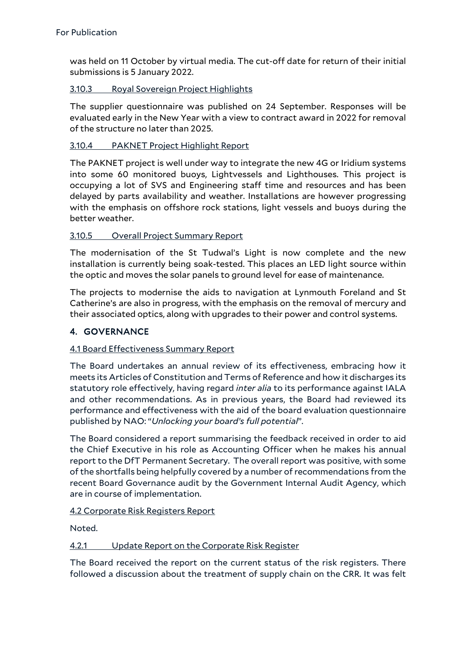was held on 11 October by virtual media. The cut-off date for return of their initial submissions is 5 January 2022.

## 3.10.3 Royal Sovereign Project Highlights

The supplier questionnaire was published on 24 September. Responses will be evaluated early in the New Year with a view to contract award in 2022 for removal of the structure no later than 2025.

## 3.10.4 PAKNET Project Highlight Report

The PAKNET project is well under way to integrate the new 4G or Iridium systems into some 60 monitored buoys, Lightvessels and Lighthouses. This project is occupying a lot of SVS and Engineering staff time and resources and has been delayed by parts availability and weather. Installations are however progressing with the emphasis on offshore rock stations, light vessels and buoys during the better weather.

#### 3.10.5 Overall Project Summary Report

The modernisation of the St Tudwal's Light is now complete and the new installation is currently being soak-tested. This places an LED light source within the optic and moves the solar panels to ground level for ease of maintenance.

The projects to modernise the aids to navigation at Lynmouth Foreland and St Catherine's are also in progress, with the emphasis on the removal of mercury and their associated optics, along with upgrades to their power and control systems.

# 4. GOVERNANCE

#### 4.1 Board Effectiveness Summary Report

The Board undertakes an annual review of its effectiveness, embracing how it meets its Articles of Constitution and Terms of Reference and how it discharges its statutory role effectively, having regard *inter alia* to its performance against IALA and other recommendations. As in previous years, the Board had reviewed its performance and effectiveness with the aid of the board evaluation questionnaire published by NAO: "*Unlocking your board's full potential*".

The Board considered a report summarising the feedback received in order to aid the Chief Executive in his role as Accounting Officer when he makes his annual report to the DfT Permanent Secretary. The overall report was positive, with some of the shortfalls being helpfully covered by a number of recommendations from the recent Board Governance audit by the Government Internal Audit Agency, which are in course of implementation.

#### 4.2 Corporate Risk Registers Report

Noted.

#### 4.2.1 Update Report on the Corporate Risk Register

The Board received the report on the current status of the risk registers. There followed a discussion about the treatment of supply chain on the CRR. It was felt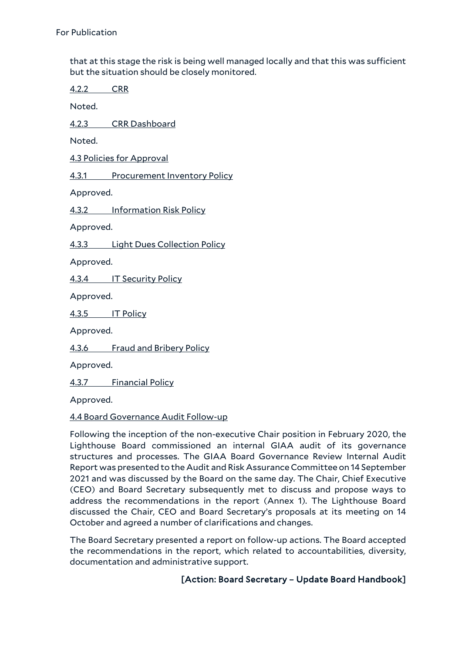that at this stage the risk is being well managed locally and that this was sufficient but the situation should be closely monitored.

4.2.2 CRR

Noted.

4.2.3 CRR Dashboard

Noted.

4.3 Policies for Approval

4.3.1 Procurement Inventory Policy

Approved.

4.3.2 Information Risk Policy

Approved.

4.3.3 Light Dues Collection Policy

Approved.

4.3.4 IT Security Policy

Approved.

4.3.5 IT Policy

Approved.

4.3.6 Fraud and Bribery Policy

Approved.

4.3.7 Financial Policy

Approved.

#### 4.4 Board Governance Audit Follow-up

Following the inception of the non-executive Chair position in February 2020, the Lighthouse Board commissioned an internal GIAA audit of its governance structures and processes. The GIAA Board Governance Review Internal Audit Report was presented to the Audit and Risk Assurance Committee on 14 September 2021 and was discussed by the Board on the same day. The Chair, Chief Executive (CEO) and Board Secretary subsequently met to discuss and propose ways to address the recommendations in the report (Annex 1). The Lighthouse Board discussed the Chair, CEO and Board Secretary's proposals at its meeting on 14 October and agreed a number of clarifications and changes.

The Board Secretary presented a report on follow-up actions. The Board accepted the recommendations in the report, which related to accountabilities, diversity, documentation and administrative support.

# [Action: Board Secretary – Update Board Handbook]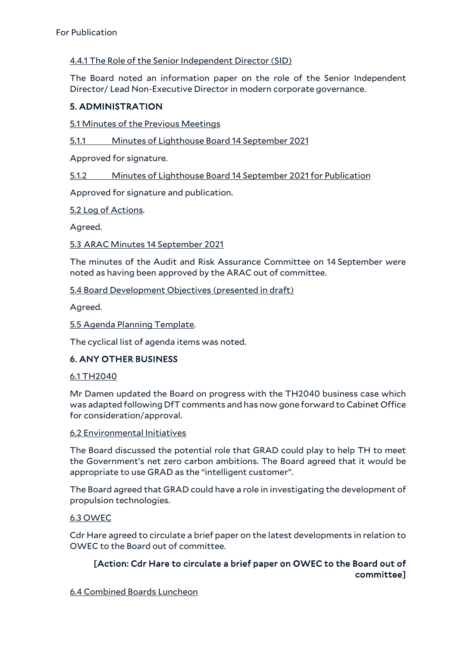#### 4.4.1 The Role of the Senior Independent Director (SID)

The Board noted an information paper on the role of the Senior Independent Director/ Lead Non-Executive Director in modern corporate governance.

## 5. ADMINISTRATION

5.1 Minutes of the Previous Meetings

5.1.1 Minutes of Lighthouse Board 14 September 2021

Approved for signature.

5.1.2 Minutes of Lighthouse Board 14 September 2021 for Publication

Approved for signature and publication.

5.2 Log of Actions.

Agreed.

5.3 ARAC Minutes 14 September 2021

The minutes of the Audit and Risk Assurance Committee on 14 September were noted as having been approved by the ARAC out of committee.

5.4 Board Development Objectives (presented in draft)

Agreed.

#### 5.5 Agenda Planning Template.

The cyclical list of agenda items was noted.

# 6. ANY OTHER BUSINESS

#### 6.1 TH2040

Mr Damen updated the Board on progress with the TH2040 business case which was adapted following DfT comments and has now gone forward to Cabinet Office for consideration/approval.

#### 6.2 Environmental Initiatives

The Board discussed the potential role that GRAD could play to help TH to meet the Government's net zero carbon ambitions. The Board agreed that it would be appropriate to use GRAD as the "intelligent customer".

The Board agreed that GRAD could have a role in investigating the development of propulsion technologies.

#### 6.3 OWEC

Cdr Hare agreed to circulate a brief paper on the latest developments in relation to OWEC to the Board out of committee.

# [Action: Cdr Hare to circulate a brief paper on OWEC to the Board out of committee]

6.4 Combined Boards Luncheon